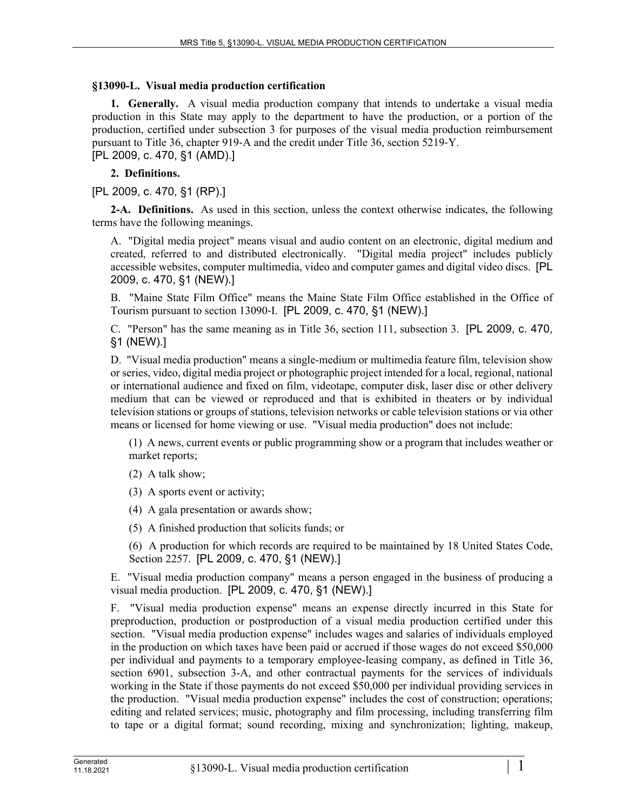## **§13090-L. Visual media production certification**

**1. Generally.** A visual media production company that intends to undertake a visual media production in this State may apply to the department to have the production, or a portion of the production, certified under subsection 3 for purposes of the visual media production reimbursement pursuant to Title 36, chapter 919‑A and the credit under Title 36, section 5219‑Y. [PL 2009, c. 470, §1 (AMD).]

## **2. Definitions.**

[PL 2009, c. 470, §1 (RP).]

**2-A. Definitions.** As used in this section, unless the context otherwise indicates, the following terms have the following meanings.

A. "Digital media project" means visual and audio content on an electronic, digital medium and created, referred to and distributed electronically. "Digital media project" includes publicly accessible websites, computer multimedia, video and computer games and digital video discs. [PL 2009, c. 470, §1 (NEW).]

B. "Maine State Film Office" means the Maine State Film Office established in the Office of Tourism pursuant to section 13090‑I. [PL 2009, c. 470, §1 (NEW).]

C. "Person" has the same meaning as in Title 36, section 111, subsection 3. [PL 2009, c. 470, §1 (NEW).]

D. "Visual media production" means a single-medium or multimedia feature film, television show or series, video, digital media project or photographic project intended for a local, regional, national or international audience and fixed on film, videotape, computer disk, laser disc or other delivery medium that can be viewed or reproduced and that is exhibited in theaters or by individual television stations or groups of stations, television networks or cable television stations or via other means or licensed for home viewing or use. "Visual media production" does not include:

(1) A news, current events or public programming show or a program that includes weather or market reports;

(2) A talk show;

(3) A sports event or activity;

(4) A gala presentation or awards show;

(5) A finished production that solicits funds; or

(6) A production for which records are required to be maintained by 18 United States Code, Section 2257. [PL 2009, c. 470, §1 (NEW).]

E. "Visual media production company" means a person engaged in the business of producing a visual media production. [PL 2009, c. 470, §1 (NEW).]

F. "Visual media production expense" means an expense directly incurred in this State for preproduction, production or postproduction of a visual media production certified under this section. "Visual media production expense" includes wages and salaries of individuals employed in the production on which taxes have been paid or accrued if those wages do not exceed \$50,000 per individual and payments to a temporary employee-leasing company, as defined in Title 36, section 6901, subsection 3-A, and other contractual payments for the services of individuals working in the State if those payments do not exceed \$50,000 per individual providing services in the production. "Visual media production expense" includes the cost of construction; operations; editing and related services; music, photography and film processing, including transferring film to tape or a digital format; sound recording, mixing and synchronization; lighting, makeup,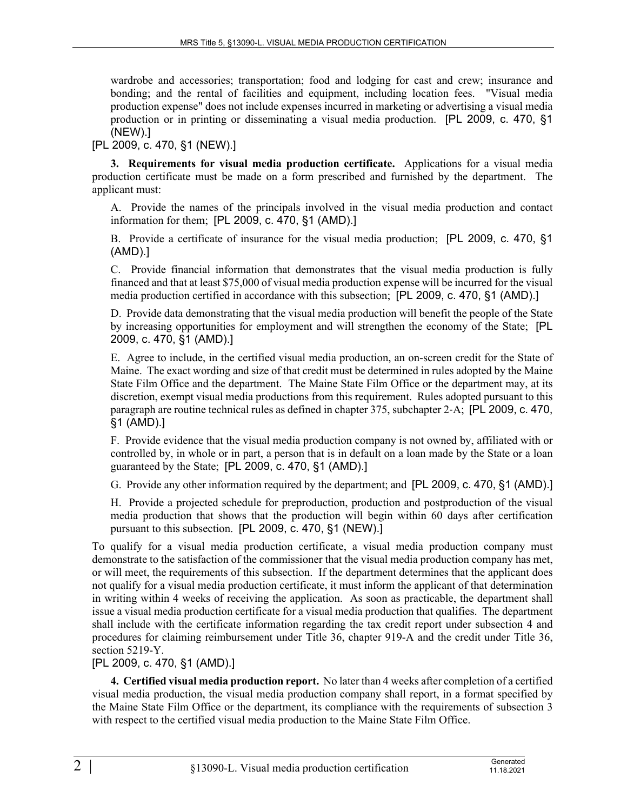wardrobe and accessories; transportation; food and lodging for cast and crew; insurance and bonding; and the rental of facilities and equipment, including location fees. "Visual media production expense" does not include expenses incurred in marketing or advertising a visual media production or in printing or disseminating a visual media production. [PL 2009, c. 470, §1 (NEW).]

[PL 2009, c. 470, §1 (NEW).]

**3. Requirements for visual media production certificate.** Applications for a visual media production certificate must be made on a form prescribed and furnished by the department. The applicant must:

A. Provide the names of the principals involved in the visual media production and contact information for them; [PL 2009, c. 470, §1 (AMD).]

B. Provide a certificate of insurance for the visual media production; [PL 2009, c. 470, §1 (AMD).]

C. Provide financial information that demonstrates that the visual media production is fully financed and that at least \$75,000 of visual media production expense will be incurred for the visual media production certified in accordance with this subsection; [PL 2009, c. 470, §1 (AMD).]

D. Provide data demonstrating that the visual media production will benefit the people of the State by increasing opportunities for employment and will strengthen the economy of the State; [PL 2009, c. 470, §1 (AMD).]

E. Agree to include, in the certified visual media production, an on-screen credit for the State of Maine. The exact wording and size of that credit must be determined in rules adopted by the Maine State Film Office and the department. The Maine State Film Office or the department may, at its discretion, exempt visual media productions from this requirement. Rules adopted pursuant to this paragraph are routine technical rules as defined in chapter 375, subchapter 2‑A; [PL 2009, c. 470, §1 (AMD).]

F. Provide evidence that the visual media production company is not owned by, affiliated with or controlled by, in whole or in part, a person that is in default on a loan made by the State or a loan guaranteed by the State; [PL 2009, c. 470, §1 (AMD).]

G. Provide any other information required by the department; and [PL 2009, c. 470, §1 (AMD).]

H. Provide a projected schedule for preproduction, production and postproduction of the visual media production that shows that the production will begin within 60 days after certification pursuant to this subsection. [PL 2009, c. 470, §1 (NEW).]

To qualify for a visual media production certificate, a visual media production company must demonstrate to the satisfaction of the commissioner that the visual media production company has met, or will meet, the requirements of this subsection. If the department determines that the applicant does not qualify for a visual media production certificate, it must inform the applicant of that determination in writing within 4 weeks of receiving the application. As soon as practicable, the department shall issue a visual media production certificate for a visual media production that qualifies. The department shall include with the certificate information regarding the tax credit report under subsection 4 and procedures for claiming reimbursement under Title 36, chapter 919-A and the credit under Title 36, section 5219-Y.

[PL 2009, c. 470, §1 (AMD).]

**4. Certified visual media production report.** No later than 4 weeks after completion of a certified visual media production, the visual media production company shall report, in a format specified by the Maine State Film Office or the department, its compliance with the requirements of subsection 3 with respect to the certified visual media production to the Maine State Film Office.